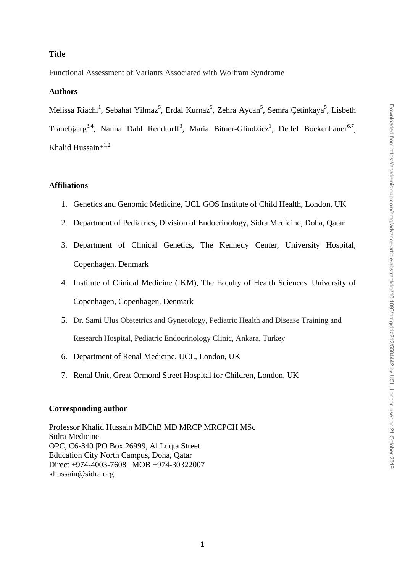## **Title**

Functional Assessment of Variants Associated with Wolfram Syndrome

## **Authors**

Melissa Riachi<sup>1</sup>, Sebahat Yilmaz<sup>5</sup>, Erdal Kurnaz<sup>5</sup>, Zehra Aycan<sup>5</sup>, Semra Çetinkaya<sup>5</sup>, Lisbeth Tranebjærg<sup>3,4</sup>, Nanna Dahl Rendtorff<sup>3</sup>, Maria Bitner-Glindzicz<sup>1</sup>, Detlef Bockenhauer<sup>6,7</sup>, Khalid Hussain\* 1,2

## **Affiliations**

- 1. Genetics and Genomic Medicine, UCL GOS Institute of Child Health, London, UK
- 2. Department of Pediatrics, Division of Endocrinology, Sidra Medicine, Doha, Qatar
- 3. Department of Clinical Genetics, The Kennedy Center, University Hospital, Copenhagen, Denmark
- 4. Institute of Clinical Medicine (IKM), The Faculty of Health Sciences, University of Copenhagen, Copenhagen, Denmark
- 5. Dr. Sami Ulus Obstetrics and Gynecology, Pediatric Health and Disease Training and Research Hospital, Pediatric Endocrinology Clinic, Ankara, Turkey
- 6. Department of Renal Medicine, UCL, London, UK
- 7. Renal Unit, Great Ormond Street Hospital for Children, London, UK

## **Corresponding author**

Professor Khalid Hussain MBChB MD MRCP MRCPCH MSc Sidra Medicine OPC, C6-340 |PO Box 26999, Al Luqta Street Education City North Campus, Doha, Qatar Direct +974-4003-7608 | MOB +974-30322007 khussain@sidra.org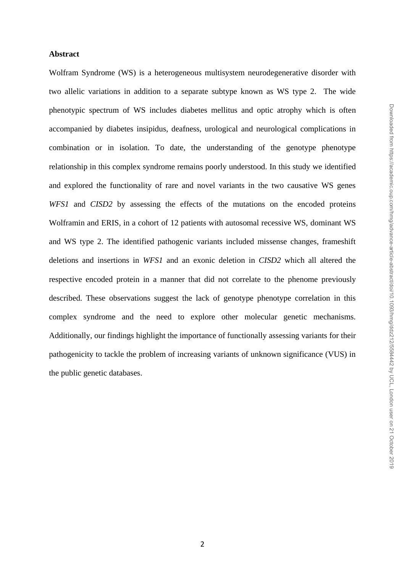#### **Abstract**

Wolfram Syndrome (WS) is a heterogeneous multisystem neurodegenerative disorder with two allelic variations in addition to a separate subtype known as WS type 2. The wide phenotypic spectrum of WS includes diabetes mellitus and optic atrophy which is often accompanied by diabetes insipidus, deafness, urological and neurological complications in combination or in isolation. To date, the understanding of the genotype phenotype relationship in this complex syndrome remains poorly understood. In this study we identified and explored the functionality of rare and novel variants in the two causative WS genes *WFS1* and *CISD2* by assessing the effects of the mutations on the encoded proteins Wolframin and ERIS, in a cohort of 12 patients with autosomal recessive WS, dominant WS and WS type 2. The identified pathogenic variants included missense changes, frameshift deletions and insertions in *WFS1* and an exonic deletion in *CISD2* which all altered the respective encoded protein in a manner that did not correlate to the phenome previously described. These observations suggest the lack of genotype phenotype correlation in this complex syndrome and the need to explore other molecular genetic mechanisms. Additionally, our findings highlight the importance of functionally assessing variants for their pathogenicity to tackle the problem of increasing variants of unknown significance (VUS) in the public genetic databases.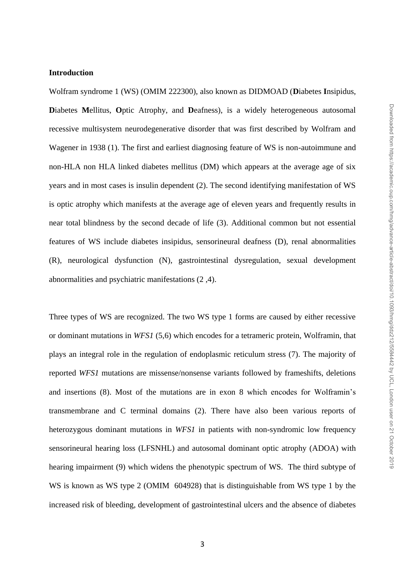## **Introduction**

Wolfram syndrome 1 (WS) (OMIM 222300), also known as DIDMOAD (**D**iabetes **I**nsipidus, **D**iabetes **M**ellitus, **O**ptic Atrophy, and **D**eafness), is a widely heterogeneous autosomal recessive multisystem neurodegenerative disorder that was first described by Wolfram and Wagener in 1938 (1). The first and earliest diagnosing feature of WS is non-autoimmune and non-HLA non HLA linked diabetes mellitus (DM) which appears at the average age of six years and in most cases is insulin dependent (2). The second identifying manifestation of WS is optic atrophy which manifests at the average age of eleven years and frequently results in near total blindness by the second decade of life (3). Additional common but not essential features of WS include diabetes insipidus, sensorineural deafness (D), renal abnormalities (R), neurological dysfunction (N), gastrointestinal dysregulation, sexual development abnormalities and psychiatric manifestations (2 ,4).

Three types of WS are recognized. The two WS type 1 forms are caused by either recessive or dominant mutations in *WFS1* (5,6) which encodes for a tetrameric protein, Wolframin, that plays an integral role in the regulation of endoplasmic reticulum stress (7). The majority of reported *WFS1* mutations are missense/nonsense variants followed by frameshifts, deletions and insertions (8). Most of the mutations are in exon 8 which encodes for Wolframin's transmembrane and C terminal domains (2). There have also been various reports of heterozygous dominant mutations in *WFS1* in patients with non-syndromic low frequency sensorineural hearing loss (LFSNHL) and autosomal dominant optic atrophy (ADOA) with hearing impairment (9) which widens the phenotypic spectrum of WS. The third subtype of WS is known as WS type 2 (OMIM 604928) that is distinguishable from WS type 1 by the increased risk of bleeding, development of gastrointestinal ulcers and the absence of diabetes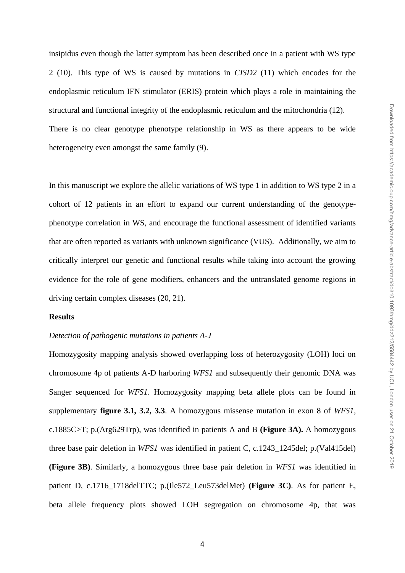insipidus even though the latter symptom has been described once in a patient with WS type 2 (10). This type of WS is caused by mutations in *CISD2* (11) which encodes for the endoplasmic reticulum IFN stimulator (ERIS) protein which plays a role in maintaining the structural and functional integrity of the endoplasmic reticulum and the mitochondria (12). There is no clear genotype phenotype relationship in WS as there appears to be wide heterogeneity even amongst the same family (9).

In this manuscript we explore the allelic variations of WS type 1 in addition to WS type 2 in a cohort of 12 patients in an effort to expand our current understanding of the genotypephenotype correlation in WS, and encourage the functional assessment of identified variants that are often reported as variants with unknown significance (VUS). Additionally, we aim to critically interpret our genetic and functional results while taking into account the growing evidence for the role of gene modifiers, enhancers and the untranslated genome regions in driving certain complex diseases (20, 21).

## **Results**

#### *Detection of pathogenic mutations in patients A-J*

Homozygosity mapping analysis showed overlapping loss of heterozygosity (LOH) loci on chromosome 4p of patients A-D harboring *WFS1* and subsequently their genomic DNA was Sanger sequenced for *WFS1*. Homozygosity mapping beta allele plots can be found in supplementary **figure 3.1, 3.2, 3.3**. A homozygous missense mutation in exon 8 of *WFS1*, c.1885C>T; p.(Arg629Trp), was identified in patients A and B **(Figure 3A).** A homozygous three base pair deletion in *WFS1* was identified in patient C, c.1243\_1245del; p.(Val415del) **(Figure 3B)**. Similarly, a homozygous three base pair deletion in *WFS1* was identified in patient D, c.1716\_1718delTTC; p.(Ile572\_Leu573delMet) **(Figure 3C)**. As for patient E, beta allele frequency plots showed LOH segregation on chromosome 4p, that was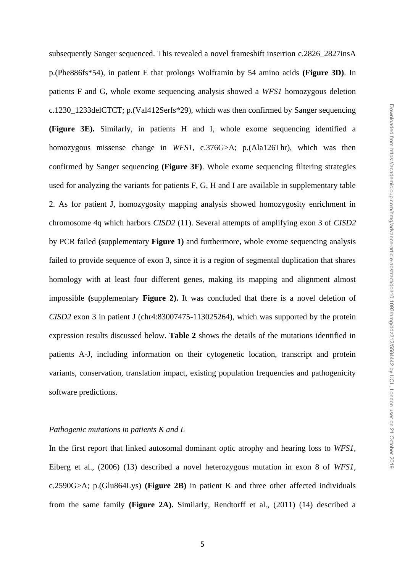subsequently Sanger sequenced. This revealed a novel frameshift insertion c.2826\_2827insA p.(Phe886fs\*54), in patient E that prolongs Wolframin by 54 amino acids **(Figure 3D)**. In patients F and G, whole exome sequencing analysis showed a *WFS1* homozygous deletion c.1230\_1233delCTCT; p.(Val412Serfs\*29), which was then confirmed by Sanger sequencing **(Figure 3E).** Similarly, in patients H and I, whole exome sequencing identified a homozygous missense change in *WFS1*, c.376G>A; p.(Ala126Thr), which was then confirmed by Sanger sequencing **(Figure 3F)**. Whole exome sequencing filtering strategies used for analyzing the variants for patients F, G, H and I are available in supplementary table 2. As for patient J, homozygosity mapping analysis showed homozygosity enrichment in chromosome 4q which harbors *CISD2* (11). Several attempts of amplifying exon 3 of *CISD2* by PCR failed **(**supplementary **Figure 1)** and furthermore, whole exome sequencing analysis failed to provide sequence of exon 3, since it is a region of segmental duplication that shares homology with at least four different genes, making its mapping and alignment almost impossible **(**supplementary **Figure 2).** It was concluded that there is a novel deletion of *CISD2* exon 3 in patient J (chr4:83007475-113025264), which was supported by the protein expression results discussed below. **Table 2** shows the details of the mutations identified in patients A-J, including information on their cytogenetic location, transcript and protein variants, conservation, translation impact, existing population frequencies and pathogenicity software predictions.

## *Pathogenic mutations in patients K and L*

In the first report that linked autosomal dominant optic atrophy and hearing loss to *WFS1,* Eiberg et al., (2006) (13) described a novel heterozygous mutation in exon 8 of *WFS1*, c.2590G>A; p.(Glu864Lys) **(Figure 2B)** in patient K and three other affected individuals from the same family **(Figure 2A).** Similarly, Rendtorff et al., (2011) (14) described a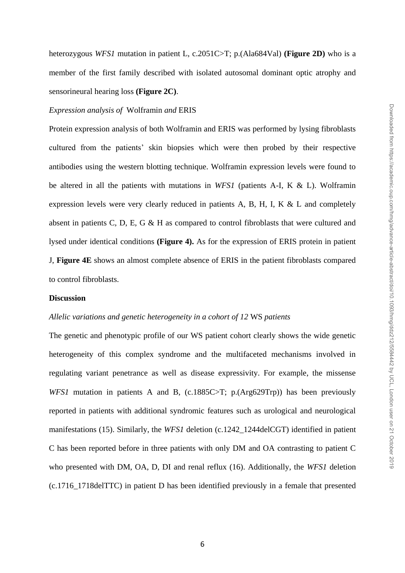heterozygous *WFS1* mutation in patient L, c.2051C>T; p.(Ala684Val) **(Figure 2D)** who is a member of the first family described with isolated autosomal dominant optic atrophy and sensorineural hearing loss **(Figure 2C)**.

#### *Expression analysis of* Wolframin *and* ERIS

Protein expression analysis of both Wolframin and ERIS was performed by lysing fibroblasts cultured from the patients' skin biopsies which were then probed by their respective antibodies using the western blotting technique. Wolframin expression levels were found to be altered in all the patients with mutations in *WFS1* (patients A-I, K & L). Wolframin expression levels were very clearly reduced in patients A, B, H, I, K & L and completely absent in patients C, D, E, G & H as compared to control fibroblasts that were cultured and lysed under identical conditions **(Figure 4).** As for the expression of ERIS protein in patient J, **Figure 4E** shows an almost complete absence of ERIS in the patient fibroblasts compared to control fibroblasts.

#### **Discussion**

#### *Allelic variations and genetic heterogeneity in a cohort of 12* WS *patients*

The genetic and phenotypic profile of our WS patient cohort clearly shows the wide genetic heterogeneity of this complex syndrome and the multifaceted mechanisms involved in regulating variant penetrance as well as disease expressivity. For example, the missense *WFS1* mutation in patients A and B, (c.1885C>T; p.(Arg629Trp)) has been previously reported in patients with additional syndromic features such as urological and neurological manifestations (15). Similarly, the *WFS1* deletion (c.1242–1244delCGT) identified in patient C has been reported before in three patients with only DM and OA contrasting to patient C who presented with DM, OA, D, DI and renal reflux (16). Additionally, the *WFS1* deletion (c.1716\_1718delTTC) in patient D has been identified previously in a female that presented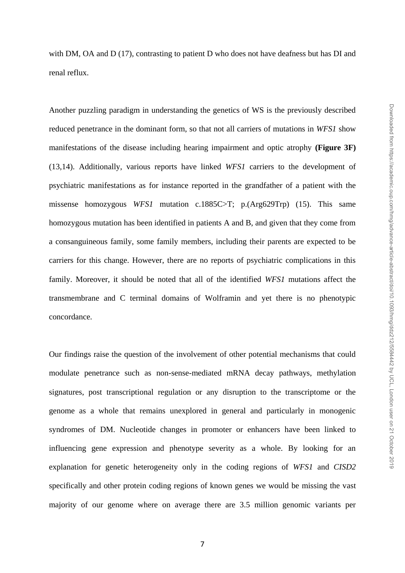with DM, OA and D (17), contrasting to patient D who does not have deafness but has DI and renal reflux.

Another puzzling paradigm in understanding the genetics of WS is the previously described reduced penetrance in the dominant form, so that not all carriers of mutations in *WFS1* show manifestations of the disease including hearing impairment and optic atrophy **(Figure 3F)** (13,14). Additionally, various reports have linked *WFS1* carriers to the development of psychiatric manifestations as for instance reported in the grandfather of a patient with the missense homozygous *WFS1* mutation c.1885C>T; p.(Arg629Trp) (15). This same homozygous mutation has been identified in patients A and B, and given that they come from a consanguineous family, some family members, including their parents are expected to be carriers for this change. However, there are no reports of psychiatric complications in this family. Moreover, it should be noted that all of the identified *WFS1* mutations affect the transmembrane and C terminal domains of Wolframin and yet there is no phenotypic concordance.

Our findings raise the question of the involvement of other potential mechanisms that could modulate penetrance such as non-sense-mediated mRNA decay pathways, methylation signatures, post transcriptional regulation or any disruption to the transcriptome or the genome as a whole that remains unexplored in general and particularly in monogenic syndromes of DM. Nucleotide changes in promoter or enhancers have been linked to influencing gene expression and phenotype severity as a whole. By looking for an explanation for genetic heterogeneity only in the coding regions of *WFS1* and *CISD2*  specifically and other protein coding regions of known genes we would be missing the vast majority of our genome where on average there are 3.5 million genomic variants per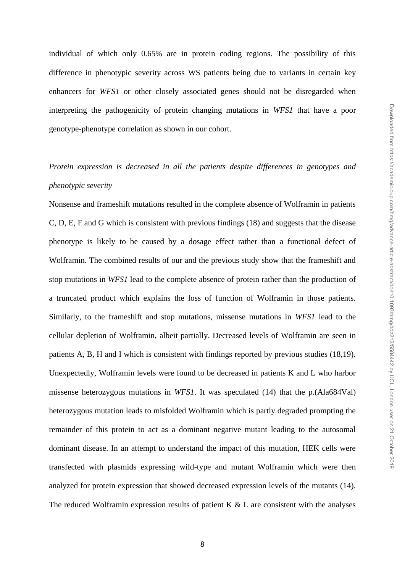individual of which only 0.65% are in protein coding regions. The possibility of this difference in phenotypic severity across WS patients being due to variants in certain key enhancers for *WFS1* or other closely associated genes should not be disregarded when interpreting the pathogenicity of protein changing mutations in *WFS1* that have a poor genotype-phenotype correlation as shown in our cohort.

# *Protein expression is decreased in all the patients despite differences in genotypes and phenotypic severity*

Nonsense and frameshift mutations resulted in the complete absence of Wolframin in patients C, D, E, F and G which is consistent with previous findings (18) and suggests that the disease phenotype is likely to be caused by a dosage effect rather than a functional defect of Wolframin. The combined results of our and the previous study show that the frameshift and stop mutations in *WFS1* lead to the complete absence of protein rather than the production of a truncated product which explains the loss of function of Wolframin in those patients. Similarly, to the frameshift and stop mutations, missense mutations in *WFS1* lead to the cellular depletion of Wolframin, albeit partially. Decreased levels of Wolframin are seen in patients A, B, H and I which is consistent with findings reported by previous studies (18,19). Unexpectedly, Wolframin levels were found to be decreased in patients K and L who harbor missense heterozygous mutations in *WFS1*. It was speculated (14) that the p.(Ala684Val) heterozygous mutation leads to misfolded Wolframin which is partly degraded prompting the remainder of this protein to act as a dominant negative mutant leading to the autosomal dominant disease. In an attempt to understand the impact of this mutation, HEK cells were transfected with plasmids expressing wild-type and mutant Wolframin which were then analyzed for protein expression that showed decreased expression levels of the mutants (14). The reduced Wolframin expression results of patient K  $\&$  L are consistent with the analyses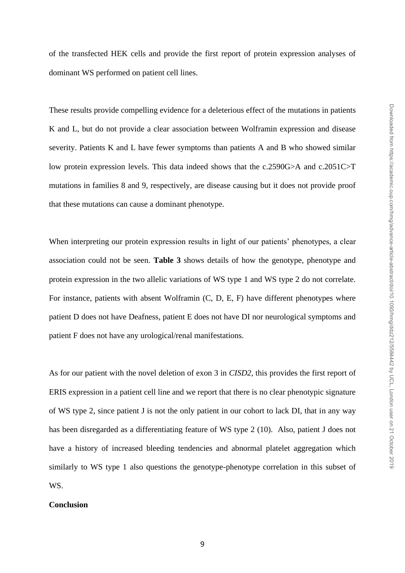of the transfected HEK cells and provide the first report of protein expression analyses of dominant WS performed on patient cell lines.

These results provide compelling evidence for a deleterious effect of the mutations in patients K and L, but do not provide a clear association between Wolframin expression and disease severity. Patients K and L have fewer symptoms than patients A and B who showed similar low protein expression levels. This data indeed shows that the c.2590G>A and c.2051C>T mutations in families 8 and 9, respectively, are disease causing but it does not provide proof that these mutations can cause a dominant phenotype.

When interpreting our protein expression results in light of our patients' phenotypes, a clear association could not be seen. **Table 3** shows details of how the genotype, phenotype and protein expression in the two allelic variations of WS type 1 and WS type 2 do not correlate. For instance, patients with absent Wolframin (C, D, E, F) have different phenotypes where patient D does not have Deafness, patient E does not have DI nor neurological symptoms and patient F does not have any urological/renal manifestations.

As for our patient with the novel deletion of exon 3 in *CISD2*, this provides the first report of ERIS expression in a patient cell line and we report that there is no clear phenotypic signature of WS type 2, since patient J is not the only patient in our cohort to lack DI, that in any way has been disregarded as a differentiating feature of WS type 2 (10). Also, patient J does not have a history of increased bleeding tendencies and abnormal platelet aggregation which similarly to WS type 1 also questions the genotype-phenotype correlation in this subset of WS.

## **Conclusion**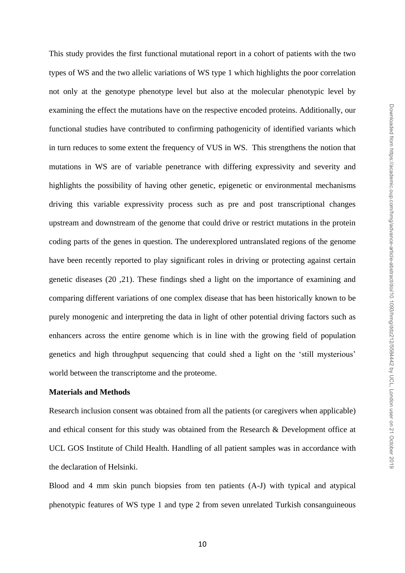This study provides the first functional mutational report in a cohort of patients with the two types of WS and the two allelic variations of WS type 1 which highlights the poor correlation not only at the genotype phenotype level but also at the molecular phenotypic level by examining the effect the mutations have on the respective encoded proteins. Additionally, our functional studies have contributed to confirming pathogenicity of identified variants which in turn reduces to some extent the frequency of VUS in WS. This strengthens the notion that mutations in WS are of variable penetrance with differing expressivity and severity and highlights the possibility of having other genetic, epigenetic or environmental mechanisms driving this variable expressivity process such as pre and post transcriptional changes upstream and downstream of the genome that could drive or restrict mutations in the protein coding parts of the genes in question. The underexplored untranslated regions of the genome have been recently reported to play significant roles in driving or protecting against certain genetic diseases (20 ,21). These findings shed a light on the importance of examining and comparing different variations of one complex disease that has been historically known to be purely monogenic and interpreting the data in light of other potential driving factors such as enhancers across the entire genome which is in line with the growing field of population genetics and high throughput sequencing that could shed a light on the 'still mysterious' world between the transcriptome and the proteome.

## **Materials and Methods**

Research inclusion consent was obtained from all the patients (or caregivers when applicable) and ethical consent for this study was obtained from the Research & Development office at UCL GOS Institute of Child Health. Handling of all patient samples was in accordance with the declaration of Helsinki.

Blood and 4 mm skin punch biopsies from ten patients (A-J) with typical and atypical phenotypic features of WS type 1 and type 2 from seven unrelated Turkish consanguineous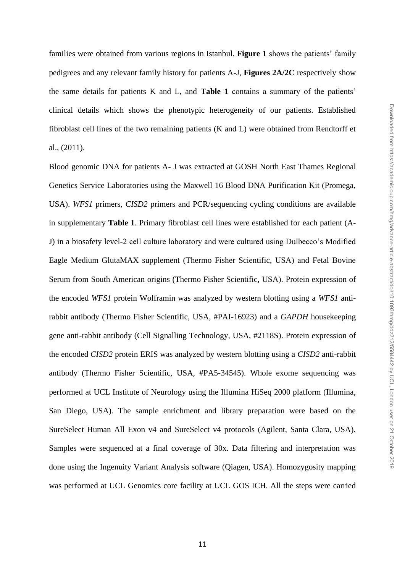families were obtained from various regions in Istanbul. **Figure 1** shows the patients' family pedigrees and any relevant family history for patients A-J, **Figures 2A/2C** respectively show the same details for patients K and L, and **Table 1** contains a summary of the patients' clinical details which shows the phenotypic heterogeneity of our patients. Established fibroblast cell lines of the two remaining patients (K and L) were obtained from Rendtorff et al., (2011).

Blood genomic DNA for patients A- J was extracted at GOSH North East Thames Regional Genetics Service Laboratories using the Maxwell 16 Blood DNA Purification Kit (Promega, USA). *WFS1* primers, *CISD2* primers and PCR/sequencing cycling conditions are available in supplementary **Table 1**. Primary fibroblast cell lines were established for each patient (A-J) in a biosafety level-2 cell culture laboratory and were cultured using Dulbecco's Modified Eagle Medium GlutaMAX supplement (Thermo Fisher Scientific, USA) and Fetal Bovine Serum from South American origins (Thermo Fisher Scientific, USA). Protein expression of the encoded *WFS1* protein Wolframin was analyzed by western blotting using a *WFS1* antirabbit antibody (Thermo Fisher Scientific, USA, #PAI-16923) and a *GAPDH* housekeeping gene anti-rabbit antibody (Cell Signalling Technology, USA, #2118S). Protein expression of the encoded *CISD2* protein ERIS was analyzed by western blotting using a *CISD2* anti-rabbit antibody (Thermo Fisher Scientific, USA, #PA5-34545). Whole exome sequencing was performed at UCL Institute of Neurology using the Illumina HiSeq 2000 platform (Illumina, San Diego, USA). The sample enrichment and library preparation were based on the SureSelect Human All Exon v4 and SureSelect v4 protocols (Agilent, Santa Clara, USA). Samples were sequenced at a final coverage of 30x. Data filtering and interpretation was done using the Ingenuity Variant Analysis software (Qiagen, USA). Homozygosity mapping was performed at UCL Genomics core facility at UCL GOS ICH. All the steps were carried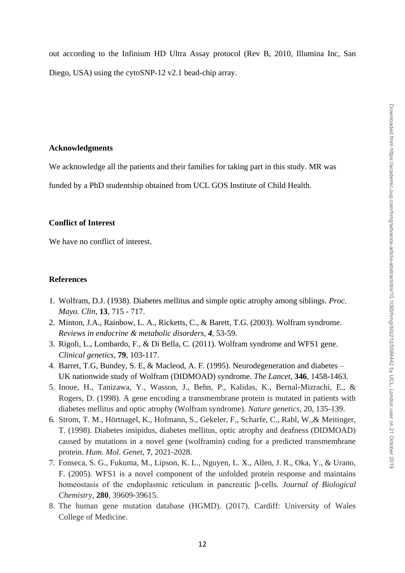out according to the Infinium HD Ultra Assay protocol (Rev B, 2010, Illumina Inc, San Diego, USA) using the cytoSNP-12 v2.1 bead-chip array.

#### **Acknowledgments**

We acknowledge all the patients and their families for taking part in this study. MR was

funded by a PhD studentship obtained from UCL GOS Institute of Child Health.

#### **Conflict of Interest**

We have no conflict of interest.

## **References**

- 1. Wolfram, D.J. (1938). Diabetes mellitus and simple optic atrophy among siblings. *Proc. Mayo. Clin,* **13**, 715 - 717.
- 2. Minton, J.A., Rainbow, L. A., Ricketts, C., & Barett, T.G. (2003). Wolfram syndrome. *Reviews in endocrine & metabolic disorders, 4*, 53-59.
- 3. Rigoli, L., Lombardo, F., & Di Bella, C. (2011). Wolfram syndrome and WFS1 gene. *Clinical genetics,* **79**, 103-117.
- 4. Barret, T.G, Bundey, S. E, & Macleod, A. F. (1995). Neurodegeneration and diabetes UK nationwide study of Wolfram (DIDMOAD) syndrome. *The Lancet,* **346**, 1458-1463.
- 5. Inoue, H., Tanizawa, Y., Wasson, J., Behn, P., Kalidas, K., Bernal-Mizrachi, E., & Rogers, D. (1998). A gene encoding a transmembrane protein is mutated in patients with diabetes mellitus and optic atrophy (Wolfram syndrome). *Nature genetics*, 20, 135-139.
- 6. Strom, T. M., Hörtnagel, K., Hofmann, S., Gekeler, F., Scharfe, C., Rabl, W.,& Meitinger, T. (1998). Diabetes insipidus, diabetes mellitus, optic atrophy and deafness (DIDMOAD) caused by mutations in a novel gene (wolframin) coding for a predicted transmembrane protein. *Hum. Mol. Genet*, **7**, 2021-2028.
- 7. Fonseca, S. G., Fukuma, M., Lipson, K. L., Nguyen, L. X., Allen, J. R., Oka, Y., & Urano, F. (2005). WFS1 is a novel component of the unfolded protein response and maintains homeostasis of the endoplasmic reticulum in pancreatic β-cells. *Journal of Biological Chemistry*, **280**, 39609-39615.
- 8. The human gene mutation database (HGMD). (2017). Cardiff: University of Wales College of Medicine.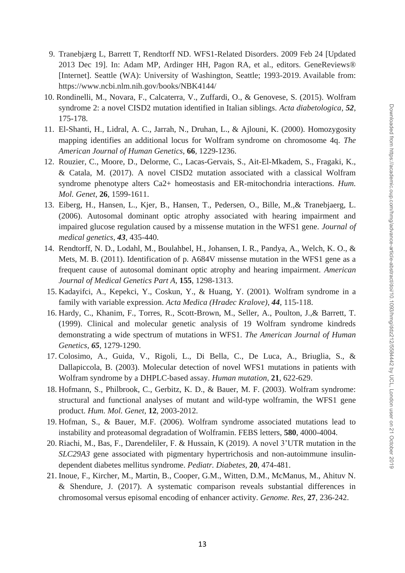- 9. Tranebjærg L, Barrett T, Rendtorff ND. WFS1-Related Disorders. 2009 Feb 24 [Updated 2013 Dec 19]. In: Adam MP, Ardinger HH, Pagon RA, et al., editors. GeneReviews® [Internet]. Seattle (WA): University of Washington, Seattle; 1993-2019. Available from: https://www.ncbi.nlm.nih.gov/books/NBK4144/
- 10. Rondinelli, M., Novara, F., Calcaterra, V., Zuffardi, O., & Genovese, S. (2015). Wolfram syndrome 2: a novel CISD2 mutation identified in Italian siblings. *Acta diabetologica*, *52*, 175-178.
- 11. El-Shanti, H., Lidral, A. C., Jarrah, N., Druhan, L., & Ajlouni, K. (2000). Homozygosity mapping identifies an additional locus for Wolfram syndrome on chromosome 4q. *The American Journal of Human Genetics*, **66**, 1229-1236.
- 12. Rouzier, C., Moore, D., Delorme, C., Lacas-Gervais, S., Ait-El-Mkadem, S., Fragaki, K., & Catala, M. (2017). A novel CISD2 mutation associated with a classical Wolfram syndrome phenotype alters Ca2+ homeostasis and ER-mitochondria interactions. *Hum. Mol. Genet*, **26**, 1599-1611.
- 13. Eiberg, H., Hansen, L., Kjer, B., Hansen, T., Pedersen, O., Bille, M.,& Tranebjaerg, L. (2006). Autosomal dominant optic atrophy associated with hearing impairment and impaired glucose regulation caused by a missense mutation in the WFS1 gene. *Journal of medical genetics*, *43*, 435-440.
- 14. Rendtorff, N. D., Lodahl, M., Boulahbel, H., Johansen, I. R., Pandya, A., Welch, K. O., & Mets, M. B. (2011). Identification of p. A684V missense mutation in the WFS1 gene as a frequent cause of autosomal dominant optic atrophy and hearing impairment. *American Journal of Medical Genetics Part A*, **155**, 1298-1313.
- 15. Kadayifci, A., Kepekci, Y., Coskun, Y., & Huang, Y. (2001). Wolfram syndrome in a family with variable expression. *Acta Medica (Hradec Kralove)*, *44*, 115-118.
- 16. Hardy, C., Khanim, F., Torres, R., Scott-Brown, M., Seller, A., Poulton, J.,& Barrett, T. (1999). Clinical and molecular genetic analysis of 19 Wolfram syndrome kindreds demonstrating a wide spectrum of mutations in WFS1. *The American Journal of Human Genetics*, *65*, 1279-1290.
- 17. Colosimo, A., Guida, V., Rigoli, L., Di Bella, C., De Luca, A., Briuglia, S., & Dallapiccola, B. (2003). Molecular detection of novel WFS1 mutations in patients with Wolfram syndrome by a DHPLC‐based assay. *Human mutation*, **21**, 622-629.
- 18. Hofmann, S., Philbrook, C., Gerbitz, K. D., & Bauer, M. F. (2003). Wolfram syndrome: structural and functional analyses of mutant and wild-type wolframin, the WFS1 gene product. *Hum. Mol. Genet*, **12**, 2003-2012.
- 19. Hofman, S., & Bauer, M.F. (2006). Wolfram syndrome associated mutations lead to instability and proteasomal degradation of Wolframin. FEBS letters, **580**, 4000-4004.
- 20. Riachi, M., Bas, F., Darendeliler, F. & Hussain, K (2019). A novel 3'UTR mutation in the *SLC29A3* gene associated with pigmentary hypertrichosis and non-autoimmune insulindependent diabetes mellitus syndrome. *Pediatr. Diabetes*, **20**, 474-481.
- 21. Inoue, F., Kircher, M., Martin, B., Cooper, G.M., Witten, D.M., McManus, M., Ahituv N. & Shendure, J. (2017). A systematic comparison reveals substantial differences in chromosomal versus episomal encoding of enhancer activity. *Genome. Res,* **27**, 236-242.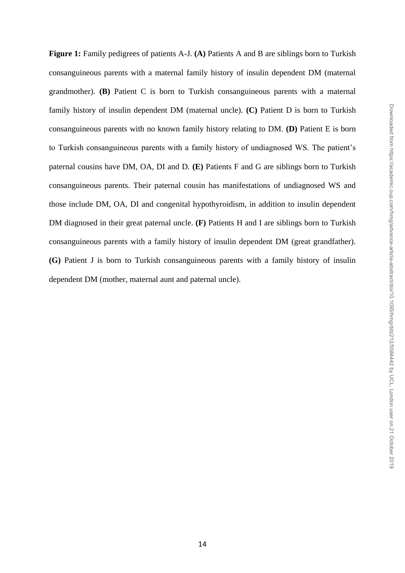**Figure 1:** Family pedigrees of patients A-J. **(A)** Patients A and B are siblings born to Turkish consanguineous parents with a maternal family history of insulin dependent DM (maternal grandmother). **(B)** Patient C is born to Turkish consanguineous parents with a maternal family history of insulin dependent DM (maternal uncle). **(C)** Patient D is born to Turkish consanguineous parents with no known family history relating to DM. **(D)** Patient E is born to Turkish consanguineous parents with a family history of undiagnosed WS. The patient's paternal cousins have DM, OA, DI and D. **(E)** Patients F and G are siblings born to Turkish consanguineous parents. Their paternal cousin has manifestations of undiagnosed WS and those include DM, OA, DI and congenital hypothyroidism, in addition to insulin dependent DM diagnosed in their great paternal uncle. **(F)** Patients H and I are siblings born to Turkish consanguineous parents with a family history of insulin dependent DM (great grandfather). **(G)** Patient J is born to Turkish consanguineous parents with a family history of insulin dependent DM (mother, maternal aunt and paternal uncle).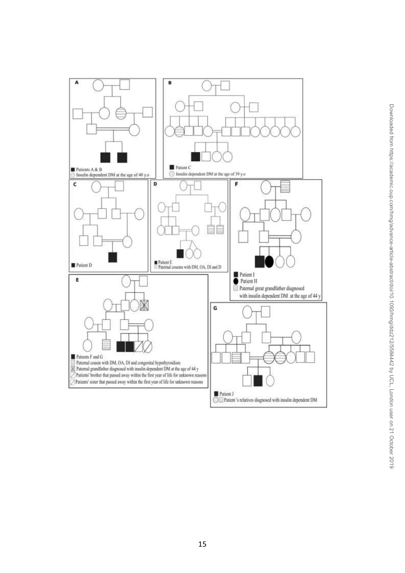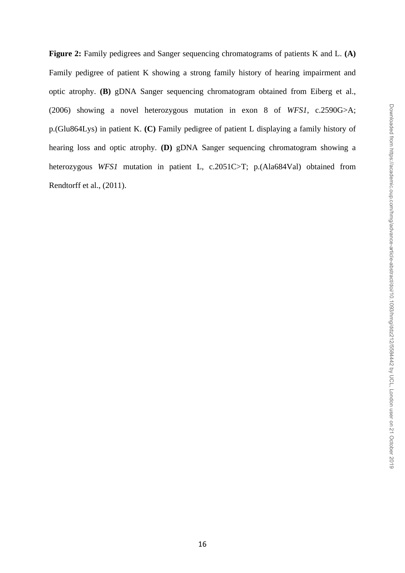**Figure 2:** Family pedigrees and Sanger sequencing chromatograms of patients K and L. **(A)**  Family pedigree of patient K showing a strong family history of hearing impairment and optic atrophy. **(B)** gDNA Sanger sequencing chromatogram obtained from Eiberg et al., (2006) showing a novel heterozygous mutation in exon 8 of *WFS1*, c.2590G>A; p.(Glu864Lys) in patient K. **(C)** Family pedigree of patient L displaying a family history of hearing loss and optic atrophy. **(D)** gDNA Sanger sequencing chromatogram showing a heterozygous *WFS1* mutation in patient L, c.2051C>T; p.(Ala684Val) obtained from Rendtorff et al., (2011).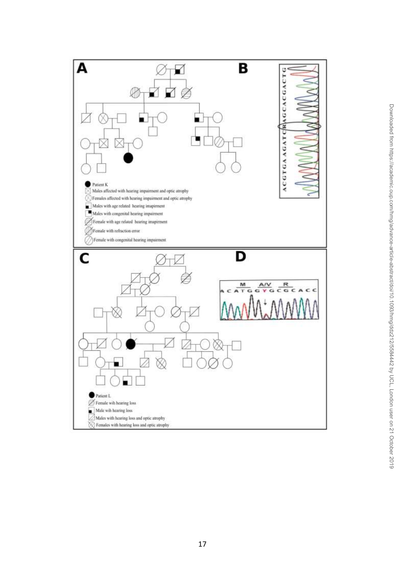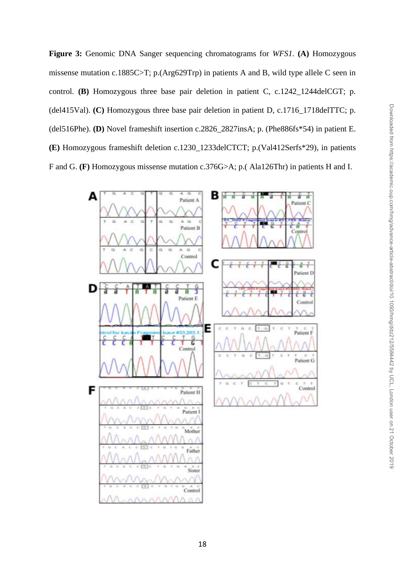**Figure 3:** Genomic DNA Sanger sequencing chromatograms for *WFS1.* **(A)** Homozygous missense mutation c.1885C>T; p.(Arg629Trp) in patients A and B, wild type allele C seen in control. **(B)** Homozygous three base pair deletion in patient C, c.1242 1244delCGT; p. (del415Val). **(C)** Homozygous three base pair deletion in patient D, c.1716\_1718delTTC; p. (del516Phe). **(D)** Novel frameshift insertion c.2826\_2827insA; p. (Phe886fs\*54) in patient E. **(E)** Homozygous frameshift deletion c.1230\_1233delCTCT; p.(Val412Serfs\*29), in patients F and G. **(F)** Homozygous missense mutation c.376G>A; p.( Ala126Thr) in patients H and I.

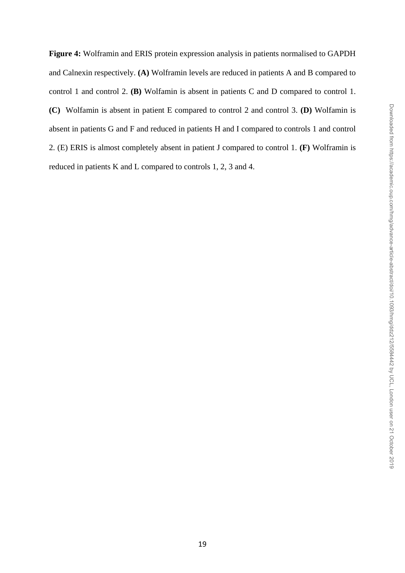**Figure 4:** Wolframin and ERIS protein expression analysis in patients normalised to GAPDH and Calnexin respectively. **(A)** Wolframin levels are reduced in patients A and B compared to control 1 and control 2. **(B)** Wolfamin is absent in patients C and D compared to control 1. **(C)** Wolfamin is absent in patient E compared to control 2 and control 3. **(D)** Wolfamin is absent in patients G and F and reduced in patients H and I compared to controls 1 and control 2. (E) ERIS is almost completely absent in patient J compared to control 1. **(F)** Wolframin is reduced in patients K and L compared to controls 1, 2, 3 and 4.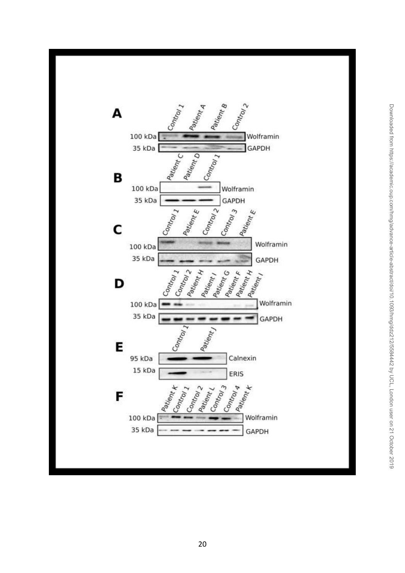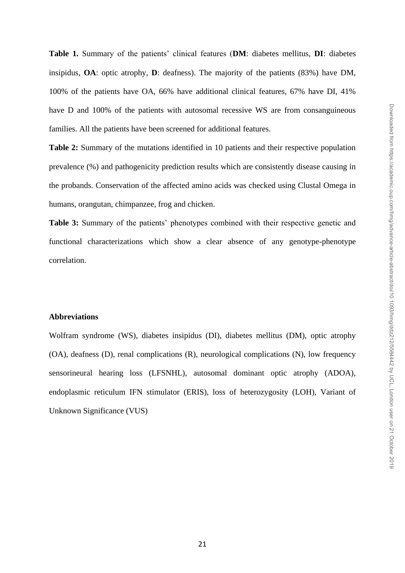**Table 1.** Summary of the patients' clinical features (**DM**: diabetes mellitus, **DI**: diabetes insipidus, **OA**: optic atrophy, **D**: deafness). The majority of the patients (83%) have DM, 100% of the patients have OA, 66% have additional clinical features, 67% have DI, 41% have D and 100% of the patients with autosomal recessive WS are from consanguineous families. All the patients have been screened for additional features.

**Table 2:** Summary of the mutations identified in 10 patients and their respective population prevalence (%) and pathogenicity prediction results which are consistently disease causing in the probands. Conservation of the affected amino acids was checked using Clustal Omega in humans, orangutan, chimpanzee, frog and chicken.

**Table 3:** Summary of the patients' phenotypes combined with their respective genetic and functional characterizations which show a clear absence of any genotype-phenotype correlation.

## **Abbreviations**

Wolfram syndrome (WS), diabetes insipidus (DI), diabetes mellitus (DM), optic atrophy (OA), deafness (D), renal complications (R), neurological complications (N), low frequency sensorineural hearing loss (LFSNHL), autosomal dominant optic atrophy (ADOA), endoplasmic reticulum IFN stimulator (ERIS), loss of heterozygosity (LOH), Variant of Unknown Significance (VUS)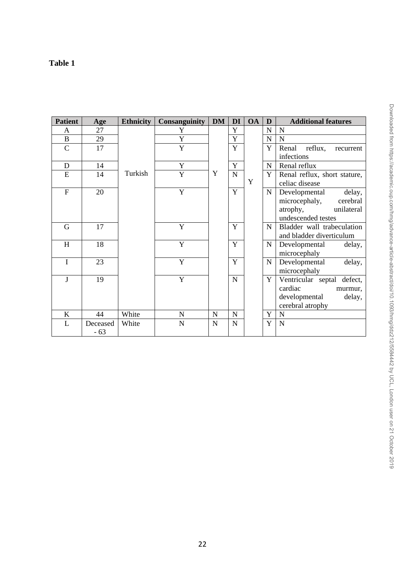## **Table 1**

| <b>Patient</b> | Age               | <b>Ethnicity</b> | <b>Consanguinity</b> | <b>DM</b>   | DI             | <b>OA</b> | D           | <b>Additional features</b>                                                                           |
|----------------|-------------------|------------------|----------------------|-------------|----------------|-----------|-------------|------------------------------------------------------------------------------------------------------|
| A              | 27                |                  | Y                    |             | Y              |           | N           | N                                                                                                    |
| $\, {\bf B}$   | 29                |                  | Y                    |             | Y              |           | $\mathbf N$ | N                                                                                                    |
| $\overline{C}$ | 17                |                  | Y                    |             | $\overline{Y}$ |           | Y           | Renal<br>reflux,<br>recurrent<br>infections                                                          |
| $\mathbf D$    | 14                |                  | Y                    |             | Y              |           | N           | Renal reflux                                                                                         |
| E              | 14                | Turkish          | Y                    | Y           | $\mathbf N$    | Y         | Y           | Renal reflux, short stature,<br>celiac disease                                                       |
| $\overline{F}$ | 20                |                  | $\mathbf Y$          |             | Y              |           | $\mathbf N$ | Developmental<br>delay,<br>microcephaly,<br>cerebral<br>atrophy,<br>unilateral<br>undescended testes |
| G              | 17                |                  | Y                    |             | Y              |           | N           | Bladder wall trabeculation<br>and bladder diverticulum                                               |
| H              | 18                |                  | Y                    |             | Y              |           | $\mathbf N$ | Developmental<br>delay,<br>microcephaly                                                              |
| $\mathbf I$    | 23                |                  | Y                    |             | Y              |           | ${\bf N}$   | Developmental<br>delay,<br>microcephaly                                                              |
| J              | 19                |                  | Y                    |             | ${\bf N}$      |           | Y           | Ventricular septal defect,<br>cardiac<br>murmur,<br>developmental<br>delay,<br>cerebral atrophy      |
| $\mathbf K$    | 44                | White            | $\mathbf N$          | $\mathbf N$ | $\mathbf N$    |           | Y           | N                                                                                                    |
| L              | Deceased<br>$-63$ | White            | N                    | N           | $\mathbf N$    |           | Y           | $\overline{N}$                                                                                       |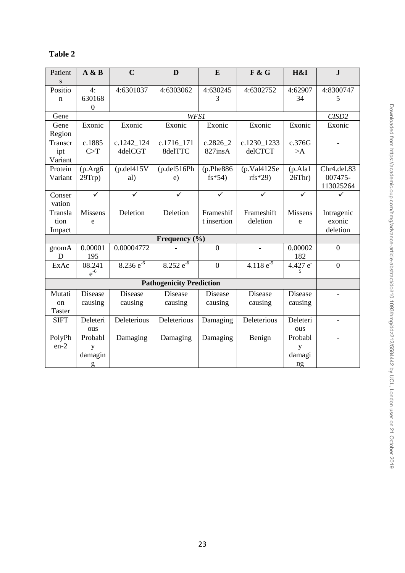| able |
|------|
|------|

| Patient       | A & B            | $\overline{C}$   | D                               | E              | F & G          | H&I                     | ${\bf J}$               |  |  |  |
|---------------|------------------|------------------|---------------------------------|----------------|----------------|-------------------------|-------------------------|--|--|--|
| S             |                  |                  |                                 |                |                |                         |                         |  |  |  |
| Positio       | 4:               | 4:6301037        | 4:6303062                       | 4:630245       | 4:6302752      | 4:62907                 | 4:8300747               |  |  |  |
| $\mathbf n$   | 630168           |                  |                                 | 3              |                | 34                      | 5                       |  |  |  |
|               | $\boldsymbol{0}$ |                  |                                 |                |                |                         |                         |  |  |  |
| Gene          |                  |                  | WFS1                            |                |                |                         | CISD <sub>2</sub>       |  |  |  |
| Gene          | Exonic           | Exonic           | Exonic                          | Exonic         | Exonic         | Exonic                  | Exonic                  |  |  |  |
| Region        |                  |                  |                                 |                |                |                         |                         |  |  |  |
| Transcr       | c.1885           | c.1242_124       | c.1716_171                      | $c.2826\_2$    | c.1230_1233    | c.376G                  |                         |  |  |  |
| ipt           | C>T              | 4delCGT          | 8delTTC                         | 827insA        | delCTCT        | >A                      |                         |  |  |  |
| Variant       |                  |                  |                                 |                |                |                         |                         |  |  |  |
| Protein       | (p. Arg6)        | $(p.$ del $415V$ | (p.del516Ph)                    | (p.Phe886)     | (p.Va1412Se    | (p. Ala1)               | Chr <sub>4.del.83</sub> |  |  |  |
| Variant       | $29$ Trp $)$     | al)              | e)                              | $fs*54)$       | $rfs*29$       | $26Thr$ )               | 007475-                 |  |  |  |
|               |                  |                  |                                 |                |                |                         | 113025264               |  |  |  |
| Conser        | $\checkmark$     | ✓                | ✓                               | ✓              | ✓              | $\overline{\checkmark}$ |                         |  |  |  |
| vation        |                  |                  |                                 |                |                |                         |                         |  |  |  |
| Transla       | <b>Missens</b>   | Deletion         | Deletion                        | Frameshif      | Frameshift     | <b>Missens</b>          | Intragenic              |  |  |  |
| tion          | e                |                  |                                 | t insertion    | deletion       | e                       | exonic                  |  |  |  |
| Impact        |                  |                  |                                 |                |                |                         | deletion                |  |  |  |
| Frequency (%) |                  |                  |                                 |                |                |                         |                         |  |  |  |
| gnomA         | 0.00001          | 0.00004772       |                                 | $\overline{0}$ |                | 0.00002                 | $\overline{0}$          |  |  |  |
| D             | 195              |                  |                                 |                |                | 182                     |                         |  |  |  |
| ExAc          | 08.241           | $8.236 e^{-6}$   | $8.252 e^{-6}$                  | $\overline{0}$ | 4.118 $e^{-5}$ | 4.427 e                 | $\boldsymbol{0}$        |  |  |  |
|               | $e^{-6}$         |                  |                                 |                |                |                         |                         |  |  |  |
|               |                  |                  | <b>Pathogenicity Prediction</b> |                |                |                         |                         |  |  |  |
| Mutati        | Disease          | Disease          | <b>Disease</b>                  | Disease        | Disease        | Disease                 |                         |  |  |  |
| on            | causing          | causing          | causing                         | causing        | causing        | causing                 |                         |  |  |  |
| Taster        |                  |                  |                                 |                |                |                         |                         |  |  |  |
| <b>SIFT</b>   | Deleteri         | Deleterious      | Deleterious                     | Damaging       | Deleterious    | Deleteri                |                         |  |  |  |
|               | ous              |                  |                                 |                |                | ous                     |                         |  |  |  |
| PolyPh        | Probabl          | Damaging         | Damaging                        | Damaging       | Benign         | Probabl                 |                         |  |  |  |
| $en-2$        | y                |                  |                                 |                |                | y                       |                         |  |  |  |
|               | damagin          |                  |                                 |                |                | damagi                  |                         |  |  |  |
|               | g                |                  |                                 |                |                | ng                      |                         |  |  |  |